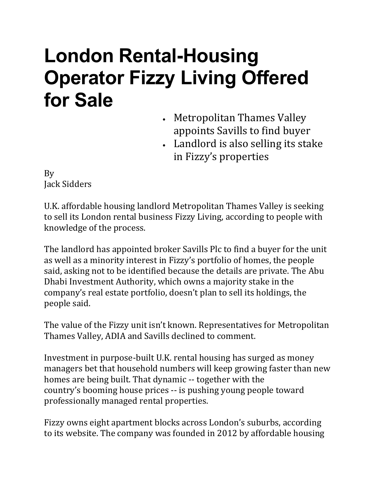## **London Rental-Housing Operator Fizzy Living Offered for Sale**

- Metropolitan Thames Valley appoints Savills to find buyer
- Landlord is also selling its stake in Fizzy's properties

By Jack [Sidders](https://www.bloomberg.com/authors/ASwsUeCGMJk/jack-sidders)

U.K. affordable housing landlord Metropolitan Thames Valley is seeking to sell its London rental business Fizzy [Living,](https://www.fizzyliving.com/) according to people with knowledge of the process.

The landlord has appointed broker Savills Plc to find a buyer for the unit as well as a minority interest in Fizzy's portfolio of homes, the people said, asking not to be identified because the details are private. The [Abu](https://www.bloomberg.com/quote/181586Z:UH) Dhabi [Investment](https://www.bloomberg.com/quote/181586Z:UH) Authority, which owns a majority stake in the company's real estate portfolio, doesn't plan to sell its holdings, the people said.

The value of the Fizzy unit isn't known. Representatives for Metropolitan Thames Valley, ADIA and Savills declined to comment.

Investment in purpose-built U.K. rental housing has surged as money managers bet that household numbers will keep growing faster than new homes are being built. That dynamic -- together with the country's [booming](https://www.bloomberg.com/news/articles/2021-06-29/u-k-house-prices-surge-fastest-17-years-nationwide-says) house prices -- is pushing young people toward professionally managed rental properties.

Fizzy owns eight apartment blocks across London's suburbs, according to its [website.](https://www.fizzyliving.com/locations) The company was founded in 2012 by affordable housing